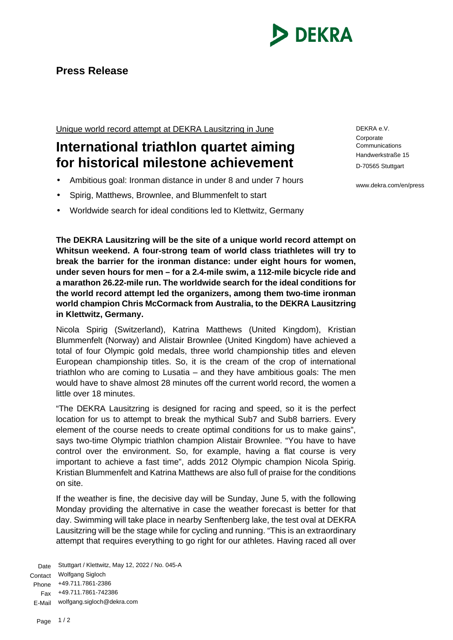

## **Press Release**

Unique world record attempt at DEKRA Lausitzring in June

## **International triathlon quartet aiming for historical milestone achievement**

- Ambitious goal: Ironman distance in under 8 and under 7 hours
- Spirig, Matthews, Brownlee, and Blummenfelt to start
- Worldwide search for ideal conditions led to Klettwitz, Germany

**The DEKRA Lausitzring will be the site of a unique world record attempt on Whitsun weekend. A four-strong team of world class triathletes will try to break the barrier for the ironman distance: under eight hours for women, under seven hours for men – for a 2.4-mile swim, a 112-mile bicycle ride and a marathon 26.22-mile run. The worldwide search for the ideal conditions for the world record attempt led the organizers, among them two-time ironman world champion Chris McCormack from Australia, to the DEKRA Lausitzring in Klettwitz, Germany.**

Nicola Spirig (Switzerland), Katrina Matthews (United Kingdom), Kristian Blummenfelt (Norway) and Alistair Brownlee (United Kingdom) have achieved a total of four Olympic gold medals, three world championship titles and eleven European championship titles. So, it is the cream of the crop of international triathlon who are coming to Lusatia – and they have ambitious goals: The men would have to shave almost 28 minutes off the current world record, the women a little over 18 minutes.

"The DEKRA Lausitzring is designed for racing and speed, so it is the perfect location for us to attempt to break the mythical Sub7 and Sub8 barriers. Every element of the course needs to create optimal conditions for us to make gains", says two-time Olympic triathlon champion Alistair Brownlee. "You have to have control over the environment. So, for example, having a flat course is very important to achieve a fast time", adds 2012 Olympic champion Nicola Spirig. Kristian Blummenfelt and Katrina Matthews are also full of praise for the conditions on site.

If the weather is fine, the decisive day will be Sunday, June 5, with the following Monday providing the alternative in case the weather forecast is better for that day. Swimming will take place in nearby Senftenberg lake, the test oval at DEKRA Lausitzring will be the stage while for cycling and running. "This is an extraordinary attempt that requires everything to go right for our athletes. Having raced all over

Date Stuttgart / Klettwitz, May 12, 2022 / No. 045-A Contact Wolfgang Sigloch Phone +49.711.7861-2386 Fax +49.711.7861-742386 E-Mail wolfgang.sigloch@dekra.com

DEKRA e.V. **Corporate Communications** Handwerkstraße 15 D-70565 Stuttgart

www.dekra.com/en/press